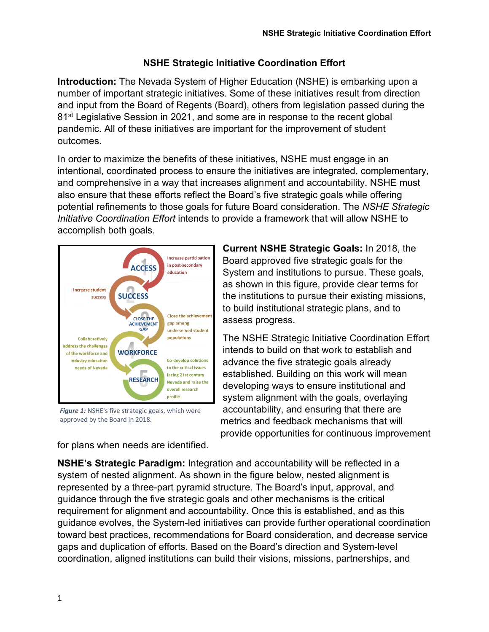## **NSHE Strategic Initiative Coordination Effort**

**Introduction:** The Nevada System of Higher Education (NSHE) is embarking upon a number of important strategic initiatives. Some of these initiatives result from direction and input from the Board of Regents (Board), others from legislation passed during the 81<sup>st</sup> Legislative Session in 2021, and some are in response to the recent global pandemic. All of these initiatives are important for the improvement of student outcomes.

In order to maximize the benefits of these initiatives, NSHE must engage in an intentional, coordinated process to ensure the initiatives are integrated, complementary, and comprehensive in a way that increases alignment and accountability. NSHE must also ensure that these efforts reflect the Board's five strategic goals while offering potential refinements to those goals for future Board consideration. The *NSHE Strategic Initiative Coordination Effort* intends to provide a framework that will allow NSHE to accomplish both goals.



**Figure 1:** NSHE's five strategic goals, which were approved by the Board in 2018.

for plans when needs are identified.

**Current NSHE Strategic Goals:** In 2018, the Board approved five strategic goals for the System and institutions to pursue. These goals, as shown in this figure, provide clear terms for the institutions to pursue their existing missions, to build institutional strategic plans, and to assess progress.

The NSHE Strategic Initiative Coordination Effort intends to build on that work to establish and advance the five strategic goals already established. Building on this work will mean developing ways to ensure institutional and system alignment with the goals, overlaying accountability, and ensuring that there are metrics and feedback mechanisms that will provide opportunities for continuous improvement

**NSHE's Strategic Paradigm:** Integration and accountability will be reflected in a system of nested alignment. As shown in the figure below, nested alignment is represented by a three-part pyramid structure. The Board's input, approval, and guidance through the five strategic goals and other mechanisms is the critical requirement for alignment and accountability. Once this is established, and as this guidance evolves, the System-led initiatives can provide further operational coordination toward best practices, recommendations for Board consideration, and decrease service gaps and duplication of efforts. Based on the Board's direction and System-level coordination, aligned institutions can build their visions, missions, partnerships, and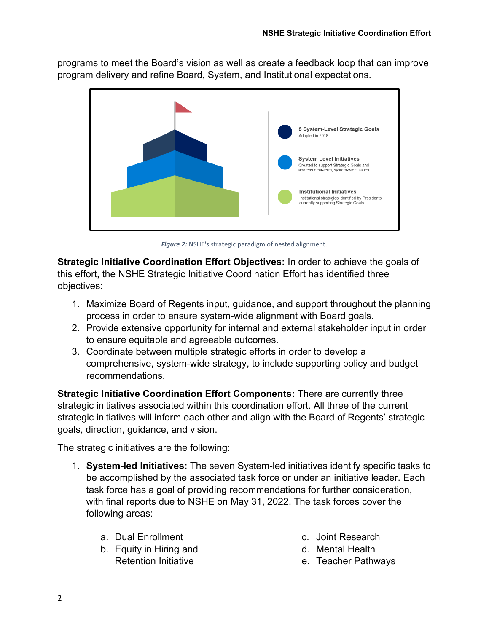programs to meet the Board's vision as well as create a feedback loop that can improve program delivery and refine Board, System, and Institutional expectations.



*Figure 2:* NSHE's strategic paradigm of nested alignment.

**Strategic Initiative Coordination Effort Objectives:** In order to achieve the goals of this effort, the NSHE Strategic Initiative Coordination Effort has identified three objectives:

- 1. Maximize Board of Regents input, guidance, and support throughout the planning process in order to ensure system-wide alignment with Board goals.
- 2. Provide extensive opportunity for internal and external stakeholder input in order to ensure equitable and agreeable outcomes.
- 3. Coordinate between multiple strategic efforts in order to develop a comprehensive, system-wide strategy, to include supporting policy and budget recommendations.

**Strategic Initiative Coordination Effort Components:** There are currently three strategic initiatives associated within this coordination effort. All three of the current strategic initiatives will inform each other and align with the Board of Regents' strategic goals, direction, guidance, and vision.

The strategic initiatives are the following:

- 1. **System-led Initiatives:** The seven System-led initiatives identify specific tasks to be accomplished by the associated task force or under an initiative leader. Each task force has a goal of providing recommendations for further consideration, with final reports due to NSHE on May 31, 2022. The task forces cover the following areas:
	- a. Dual Enrollment
	- b. Equity in Hiring and Retention Initiative
- c. Joint Research
- d. Mental Health
- e. Teacher Pathways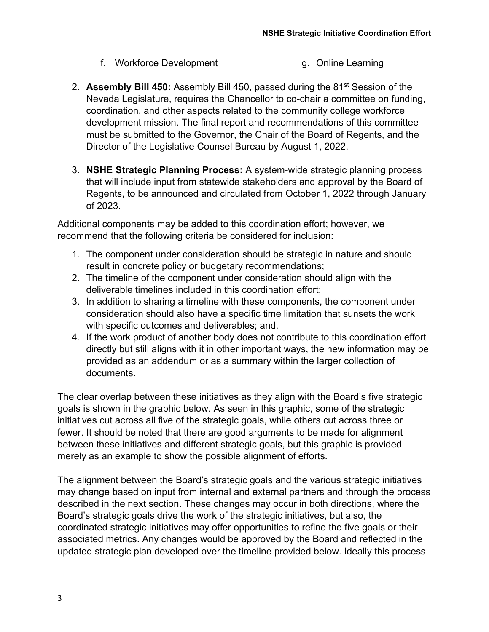- f. Workforce Development g. Online Learning
- 2. **Assembly Bill 450:** Assembly Bill 450, passed during the 81st Session of the Nevada Legislature, requires the Chancellor to co-chair a committee on funding, coordination, and other aspects related to the community college workforce development mission. The final report and recommendations of this committee must be submitted to the Governor, the Chair of the Board of Regents, and the Director of the Legislative Counsel Bureau by August 1, 2022.
- 3. **NSHE Strategic Planning Process:** A system-wide strategic planning process that will include input from statewide stakeholders and approval by the Board of Regents, to be announced and circulated from October 1, 2022 through January of 2023.

Additional components may be added to this coordination effort; however, we recommend that the following criteria be considered for inclusion:

- 1. The component under consideration should be strategic in nature and should result in concrete policy or budgetary recommendations;
- 2. The timeline of the component under consideration should align with the deliverable timelines included in this coordination effort;
- 3. In addition to sharing a timeline with these components, the component under consideration should also have a specific time limitation that sunsets the work with specific outcomes and deliverables; and,
- 4. If the work product of another body does not contribute to this coordination effort directly but still aligns with it in other important ways, the new information may be provided as an addendum or as a summary within the larger collection of documents.

The clear overlap between these initiatives as they align with the Board's five strategic goals is shown in the graphic below. As seen in this graphic, some of the strategic initiatives cut across all five of the strategic goals, while others cut across three or fewer. It should be noted that there are good arguments to be made for alignment between these initiatives and different strategic goals, but this graphic is provided merely as an example to show the possible alignment of efforts.

The alignment between the Board's strategic goals and the various strategic initiatives may change based on input from internal and external partners and through the process described in the next section. These changes may occur in both directions, where the Board's strategic goals drive the work of the strategic initiatives, but also, the coordinated strategic initiatives may offer opportunities to refine the five goals or their associated metrics. Any changes would be approved by the Board and reflected in the updated strategic plan developed over the timeline provided below. Ideally this process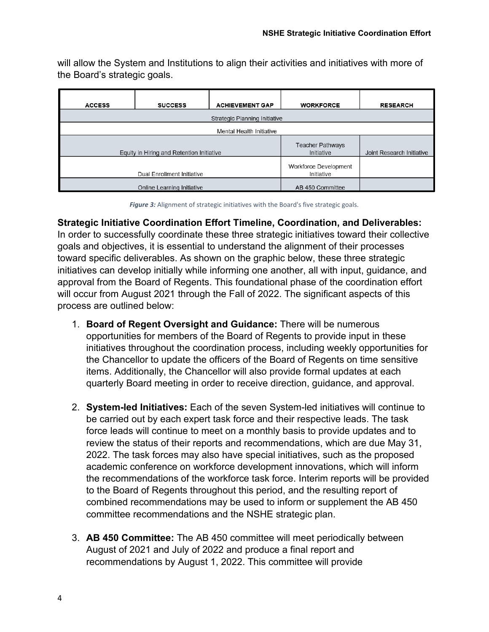will allow the System and Institutions to align their activities and initiatives with more of the Board's strategic goals.

| <b>ACCESS</b><br><b>SUCCESS</b> |                                           | <b>ACHIEVEMENT GAP</b>                | <b>WORKFORCE</b>          | <b>RESEARCH</b> |  |  |  |  |  |  |
|---------------------------------|-------------------------------------------|---------------------------------------|---------------------------|-----------------|--|--|--|--|--|--|
| Strategic Planning Initiative   |                                           |                                       |                           |                 |  |  |  |  |  |  |
| Mental Health Initiative        |                                           |                                       |                           |                 |  |  |  |  |  |  |
|                                 | Equity in Hiring and Retention Initiative | <b>Teacher Pathways</b><br>Initiative | Joint Research Initiative |                 |  |  |  |  |  |  |
|                                 | Dual Enrollment Initiative                | Workforce Development<br>Initiative   |                           |                 |  |  |  |  |  |  |
|                                 | Online Learning Initiative                | AB 450 Committee                      |                           |                 |  |  |  |  |  |  |

*Figure 3:* Alignment of strategic initiatives with the Board's five strategic goals.

**Strategic Initiative Coordination Effort Timeline, Coordination, and Deliverables:**  In order to successfully coordinate these three strategic initiatives toward their collective goals and objectives, it is essential to understand the alignment of their processes toward specific deliverables. As shown on the graphic below, these three strategic initiatives can develop initially while informing one another, all with input, guidance, and approval from the Board of Regents. This foundational phase of the coordination effort will occur from August 2021 through the Fall of 2022. The significant aspects of this process are outlined below:

- 1. **Board of Regent Oversight and Guidance:** There will be numerous opportunities for members of the Board of Regents to provide input in these initiatives throughout the coordination process, including weekly opportunities for the Chancellor to update the officers of the Board of Regents on time sensitive items. Additionally, the Chancellor will also provide formal updates at each quarterly Board meeting in order to receive direction, guidance, and approval.
- 2. **System-led Initiatives:** Each of the seven System-led initiatives will continue to be carried out by each expert task force and their respective leads. The task force leads will continue to meet on a monthly basis to provide updates and to review the status of their reports and recommendations, which are due May 31, 2022. The task forces may also have special initiatives, such as the proposed academic conference on workforce development innovations, which will inform the recommendations of the workforce task force. Interim reports will be provided to the Board of Regents throughout this period, and the resulting report of combined recommendations may be used to inform or supplement the AB 450 committee recommendations and the NSHE strategic plan.
- 3. **AB 450 Committee:** The AB 450 committee will meet periodically between August of 2021 and July of 2022 and produce a final report and recommendations by August 1, 2022. This committee will provide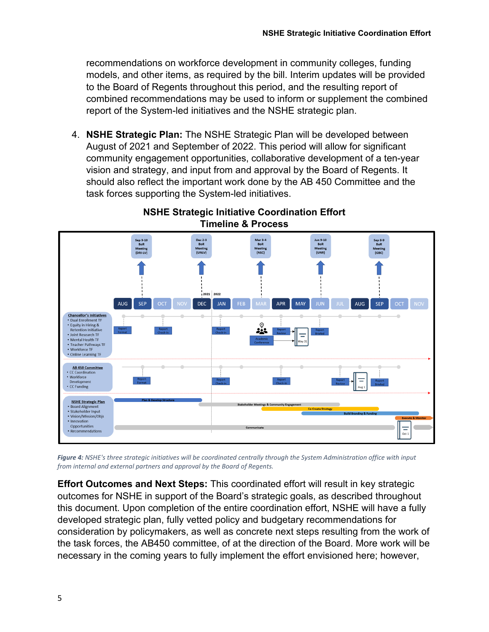recommendations on workforce development in community colleges, funding models, and other items, as required by the bill. Interim updates will be provided to the Board of Regents throughout this period, and the resulting report of combined recommendations may be used to inform or supplement the combined report of the System-led initiatives and the NSHE strategic plan.

4. **NSHE Strategic Plan:** The NSHE Strategic Plan will be developed between August of 2021 and September of 2022. This period will allow for significant community engagement opportunities, collaborative development of a ten-year vision and strategy, and input from and approval by the Board of Regents. It should also reflect the important work done by the AB 450 Committee and the task forces supporting the System-led initiatives.



## **NSHE Strategic Initiative Coordination Effort Timeline & Process**

*Figure 4: NSHE's three strategic initiatives will be coordinated centrally through the System Administration office with input from internal and external partners and approval by the Board of Regents.*

**Effort Outcomes and Next Steps:** This coordinated effort will result in key strategic outcomes for NSHE in support of the Board's strategic goals, as described throughout this document. Upon completion of the entire coordination effort, NSHE will have a fully developed strategic plan, fully vetted policy and budgetary recommendations for consideration by policymakers, as well as concrete next steps resulting from the work of the task forces, the AB450 committee, of at the direction of the Board. More work will be necessary in the coming years to fully implement the effort envisioned here; however,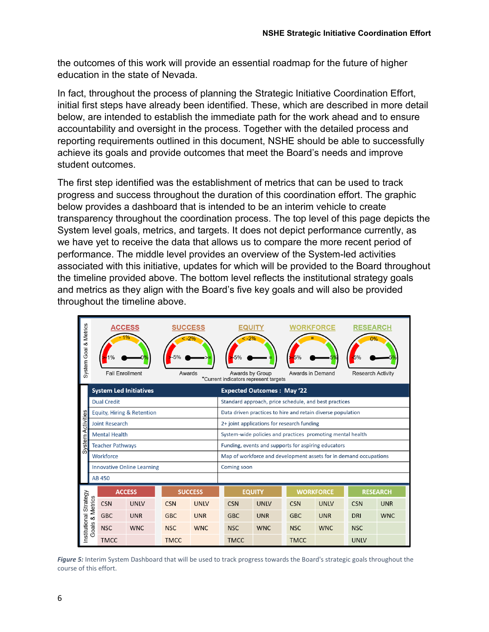the outcomes of this work will provide an essential roadmap for the future of higher education in the state of Nevada.

In fact, throughout the process of planning the Strategic Initiative Coordination Effort, initial first steps have already been identified. These, which are described in more detail below, are intended to establish the immediate path for the work ahead and to ensure accountability and oversight in the process. Together with the detailed process and reporting requirements outlined in this document, NSHE should be able to successfully achieve its goals and provide outcomes that meet the Board's needs and improve student outcomes.

The first step identified was the establishment of metrics that can be used to track progress and success throughout the duration of this coordination effort. The graphic below provides a dashboard that is intended to be an interim vehicle to create transparency throughout the coordination process. The top level of this page depicts the System level goals, metrics, and targets. It does not depict performance currently, as we have yet to receive the data that allows us to compare the more recent period of performance. The middle level provides an overview of the System-led activities associated with this initiative, updates for which will be provided to the Board throughout the timeline provided above. The bottom level reflects the institutional strategy goals and metrics as they align with the Board's five key goals and will also be provided throughout the timeline above.

| System Goal & Metrics  |                               | ACCESS<br><b>Fall Enrollment</b>  |             | <b>SUCCESS</b><br>Awards |                                                             |                                                                   | Awards by Group | *Current indicators represent targets |             | WORKFORCE<br>Awards in Demand |                 | RESEARCH<br><b>Research Activity</b> |            |
|------------------------|-------------------------------|-----------------------------------|-------------|--------------------------|-------------------------------------------------------------|-------------------------------------------------------------------|-----------------|---------------------------------------|-------------|-------------------------------|-----------------|--------------------------------------|------------|
| Activities             | <b>System Led Initiatives</b> |                                   |             |                          | <b>Expected Outcomes: May '22</b>                           |                                                                   |                 |                                       |             |                               |                 |                                      |            |
|                        | <b>Dual Credit</b>            |                                   |             |                          | Standard approach, price schedule, and best practices       |                                                                   |                 |                                       |             |                               |                 |                                      |            |
|                        | Equity, Hiring & Retention    |                                   |             |                          | Data driven practices to hire and retain diverse population |                                                                   |                 |                                       |             |                               |                 |                                      |            |
|                        |                               | <b>Joint Research</b>             |             |                          |                                                             | 2+ joint applications for research funding                        |                 |                                       |             |                               |                 |                                      |            |
|                        |                               | <b>Mental Health</b>              |             |                          |                                                             | System-wide policies and practices promoting mental health        |                 |                                       |             |                               |                 |                                      |            |
| System                 |                               | <b>Teacher Pathways</b>           |             |                          |                                                             | Funding, events and supports for aspiring educators               |                 |                                       |             |                               |                 |                                      |            |
|                        |                               | Workforce                         |             |                          |                                                             | Map of workforce and development assets for in demand occupations |                 |                                       |             |                               |                 |                                      |            |
|                        |                               | <b>Innovative Online Learning</b> |             |                          |                                                             | Coming soon                                                       |                 |                                       |             |                               |                 |                                      |            |
|                        | <b>AB 450</b>                 |                                   |             |                          |                                                             |                                                                   |                 |                                       |             |                               |                 |                                      |            |
|                        | <b>ACCESS</b>                 |                                   |             | <b>SUCCESS</b>           |                                                             | <b>EQUITY</b>                                                     |                 | <b>WORKFORCE</b>                      |             |                               | <b>RESEARCH</b> |                                      |            |
|                        | & Metrics                     | <b>CSN</b>                        | <b>UNLV</b> | <b>CSN</b>               | <b>UNLV</b>                                                 |                                                                   | <b>CSN</b>      | <b>UNLV</b>                           | <b>CSN</b>  | <b>UNLV</b>                   |                 | <b>CSN</b>                           | <b>UNR</b> |
| Institutional Strategy |                               | <b>GBC</b>                        | <b>UNR</b>  | <b>GBC</b>               | <b>UNR</b>                                                  |                                                                   | <b>GBC</b>      | <b>UNR</b>                            | <b>GBC</b>  | <b>UNR</b>                    |                 | <b>DRI</b>                           | <b>WNC</b> |
|                        | Goals                         | <b>NSC</b>                        | <b>WNC</b>  | <b>NSC</b>               | <b>WNC</b>                                                  |                                                                   | <b>NSC</b>      | <b>WNC</b>                            | <b>NSC</b>  | <b>WNC</b>                    |                 | <b>NSC</b>                           |            |
|                        |                               | <b>TMCC</b>                       |             | <b>TMCC</b>              |                                                             |                                                                   | <b>TMCC</b>     |                                       | <b>TMCC</b> |                               |                 | <b>UNLV</b>                          |            |

Figure 5: Interim System Dashboard that will be used to track progress towards the Board's strategic goals throughout the course of this effort.